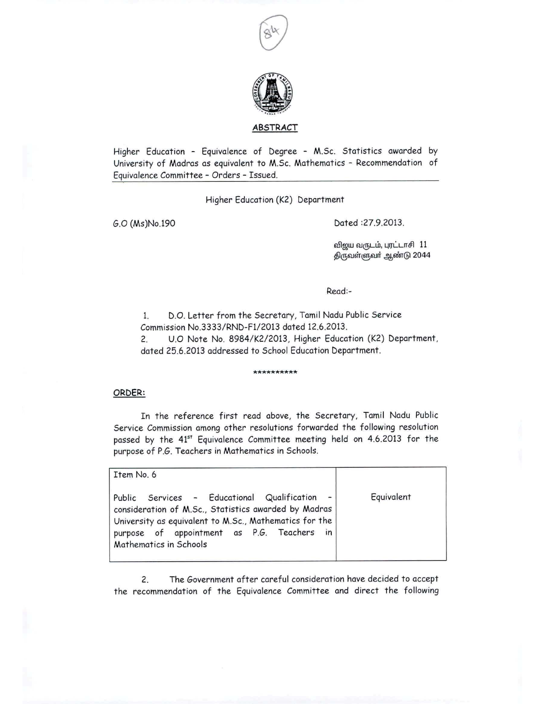



## **ABSTRACT**

Higher Education - Equivalence of Degree - M.Sc. Statistics awarded by University of Madras as equivalent to M.Sc. Mathematics - Recommendation of Equivalence Committee - Orders - Issued.

Higher Education (K2) Department

G.O (Ms)No.l90 Dated :27.9.2013.

விஜய வருடம், புரட்டாசி 11 திருவள்ளுவா் ஆண்டு 2044

Read:-

I. D.O. Letter from the Secretary, Tamil Nadu Public Service Commission NO.3333/RND-F112013 dated 12.6.2013.

2. U.O Note No. 8984/K212013, Higher Education (K2) Department, dated 25.6.2013 addressed to School Education Department.

## **\*\*\*\*\*\*\*\*\*\***

## ORDER:

In the reference first read above, the Secretary, Tamil Nadu Public Service Commission among other resolutions forwarded the following resolution passed by the 41<sup>st</sup> Equivalence Committee meeting held on 4.6.2013 for the purpose of P.G. Teachers in Mathemotics in Schools.

| Item No. 6                                                                                                                                                                                                                            |            |
|---------------------------------------------------------------------------------------------------------------------------------------------------------------------------------------------------------------------------------------|------------|
| Public Services - Educational Qualification<br>consideration of M.Sc., Statistics awarded by Madras<br>University as equivalent to M.Sc., Mathematics for the<br>purpose of appointment as P.G. Teachers in<br>Mathematics in Schools | Equivalent |

2. The Government after careful consideration have decided to accept the recommendation of the Equivalence Committee and direct the following